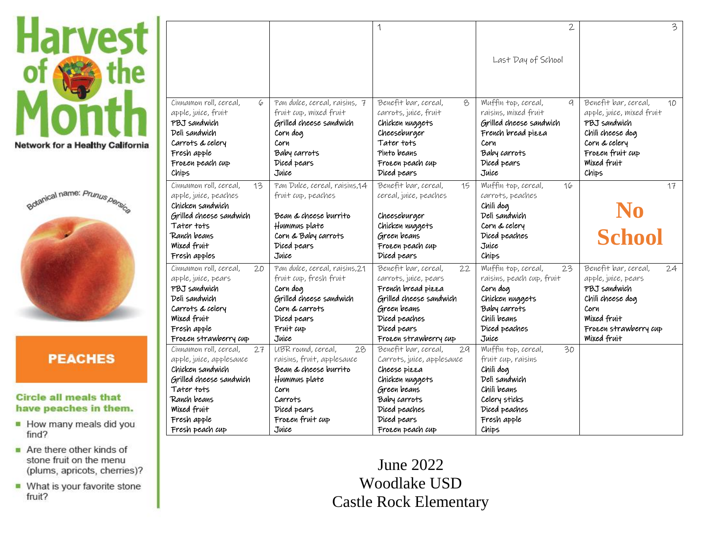



# **PEACHES**

#### **Circle all meals that** have peaches in them.

- How many meals did you find?
- $\blacksquare$  Are there other kinds of stone fruit on the menu (plums, apricots, cherries)?
- What is your favorite stone fruit?

|                                                    |                                                         | 1                                                  | $\mathfrak{2}$                                   | 3                                                       |
|----------------------------------------------------|---------------------------------------------------------|----------------------------------------------------|--------------------------------------------------|---------------------------------------------------------|
|                                                    |                                                         |                                                    | Last Day of School                               |                                                         |
|                                                    |                                                         |                                                    |                                                  |                                                         |
|                                                    |                                                         |                                                    |                                                  |                                                         |
| Cinnamon roll, cereal,<br>6<br>apple, juice, fruit | Pan dulce, cereal, raisins, 7<br>fruit cup, mixed fruit | Benefit bar, cereal,<br>8<br>carrots, juice, fruit | Muffin top, cereal,<br>a<br>raisins, mixed fruit | Benefit bar, cereal,<br>10<br>apple, juice, mixed fruit |
| PBJ sandwich                                       | Grilled cheese sandwich                                 | Chicken nuggets                                    | Grilled cheese sandwich                          | PBJ sandwich                                            |
| Deli sandwich                                      | Corn dog                                                | Cheeseburger                                       | French bread pizza                               | Chili cheese dog                                        |
| Carrots & celery                                   | Corn                                                    | Tater tots                                         | Corn                                             | Corn & celery                                           |
| Fresh apple                                        | Baby carrots                                            | Pinto beans                                        | Baby carrots                                     | Frozen fruit cup                                        |
| Frozen peach cup                                   | Diced pears                                             | Frozen peach cup                                   | Diced pears                                      | <b>Mixed fruit</b>                                      |
| Chips                                              | Juice                                                   | Diced pears                                        | Juice                                            | Chips                                                   |
| Cinnamon roll, cereal,<br>13                       | Pan Dulce, cereal, raisins, 14                          | Benefit bar, cereal,<br>15                         | Muffin top, cereal,<br>16                        | 17                                                      |
| apple, juice, peaches                              | fruit cup, peaches                                      | cereal, juice, peaches                             | carrots, peaches                                 |                                                         |
| Chicken sandwich<br>Grilled cheese sandwich        | Bean & cheese burrito                                   |                                                    | Chili dog<br>Deli sandwich                       |                                                         |
| Tater tots                                         | Hummus plate                                            | Cheeseburger<br>Chicken nuggets                    | Corn & celery                                    | N <sub>0</sub>                                          |
| Ranch beans                                        | Corn & Baby carrots                                     | Green beans                                        | Diced peaches                                    | <b>School</b>                                           |
| Mixed fruit                                        | Diced pears                                             | Frozen peach cup                                   | Juice                                            |                                                         |
| Fresh apples                                       | Juice                                                   | Diced pears                                        | Chips                                            |                                                         |
| Cinnamon roll, cereal,<br>20                       | Pan dulce, cereal, raisins, 21                          | Benefit bar, cereal,<br>22                         | Muffin top, cereal,<br>23                        | Benefit bar, cereal,<br>24                              |
| apple, juice, pears                                | fruit cup, fresh fruit                                  | carrots, juice, pears                              | raisins, peach cup, fruit                        | apple, juice, pears                                     |
| PBJ sandwich                                       | Corn dog                                                | French bread pizza                                 | Corn dog                                         | PBJ sandwich                                            |
| Deli sandwich                                      | Grilled cheese sandwich                                 | Grilled cheese sandwich                            | Chicken nuggets                                  | Chili cheese dog                                        |
| Carrots & celery                                   | Corn & carrots                                          | Green beans                                        | Baby carrots                                     | Corn                                                    |
| <b>Mixed fruit</b>                                 | Diced pears                                             | Diced peaches                                      | Chili beans                                      | <b>Mixed fruit</b>                                      |
| Fresh apple                                        |                                                         |                                                    |                                                  |                                                         |
|                                                    | Fruit cup                                               | Diced pears                                        | Diced peaches                                    | Frozen strawberry cup                                   |
| Frozen strawberry cup                              | Juice                                                   | Frozen strawberry cup                              | Juice                                            | <b>Mixed fruit</b>                                      |
| Cinnamon roll, cereal,<br>27                       | UBR round, cereal,<br>28                                | Benefit bar, cereal,<br>29                         | Muffin top, cereal,<br>$\overline{30}$           |                                                         |
| apple, juice, applesauce                           | raisins, fruit, applesauce                              | Carrots, juice, applesauce                         | fruit cup, raisins                               |                                                         |
| Chicken sandwich                                   | Bean & cheese burrito                                   | Cheese pizza                                       | Chili dog                                        |                                                         |
| Grilled cheese sandwich                            | Hummus plate                                            | Chicken nuggets                                    | Deli sandwich                                    |                                                         |
| Tater tots                                         | Corn                                                    | Green beans                                        | Chili beans                                      |                                                         |
| Ranch beans                                        | Carrots                                                 | Baby carrots                                       | Celery sticks                                    |                                                         |
| Mixed fruit                                        | Diced pears                                             | Diced peaches                                      | Diced peaches                                    |                                                         |
| Fresh apple<br>Fresh peach cup                     | Frozen fruit cup<br>Juice                               | Diced pears<br>Frozen peach cup                    | Fresh apple<br>Chips                             |                                                         |

June 2022 Woodlake USD **Castle Rock Elementary**